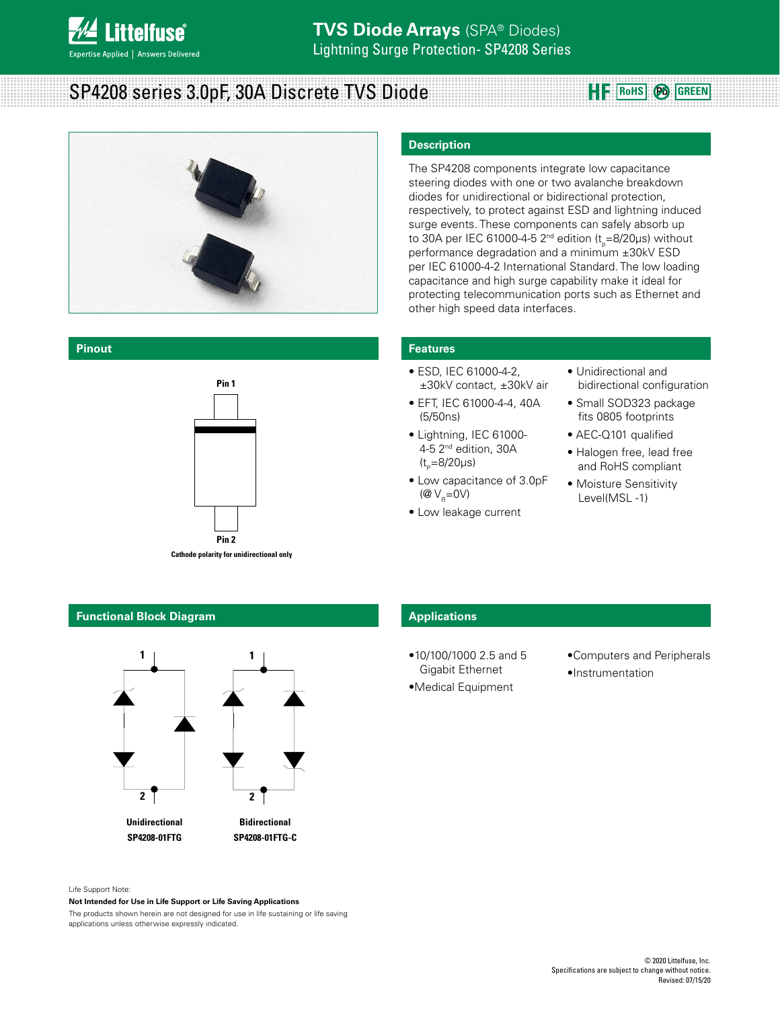

# **SP4208 series 3.0pF, 30A Discrete TVS Diode Recreating HE RoHS** @ GREEN



#### **Pinout**



**Cathode polarity for unidirectional only**

## **Functional Block Diagram**



#### **Description**

The SP4208 components integrate low capacitance steering diodes with one or two avalanche breakdown diodes for unidirectional or bidirectional protection, respectively, to protect against ESD and lightning induced surge events. These components can safely absorb up to 30A per IEC 61000-4-5 2<sup>nd</sup> edition (t<sub>p</sub>=8/20μs) without performance degradation and a minimum ±30kV ESD per IEC 61000-4-2 International Standard. The low loading capacitance and high surge capability make it ideal for protecting telecommunication ports such as Ethernet and other high speed data interfaces.

#### **Features**

- ESD, IEC 61000-4-2, ±30kV contact, ±30kV air
- EFT, IEC 61000-4-4, 40A (5/50ns)
- Lightning, IEC 61000- 4-5 2nd edition, 30A  $(t_{p}=8/20 \mu s)$
- Low capacitance of 3.0pF ( $@V_{B}=0V$ )
- Low leakage current
- Unidirectional and bidirectional configuration
- Small SOD323 package fits 0805 footprints
- AEC-Q101 qualified
- Halogen free, lead free and RoHS compliant
- Moisture Sensitivity Level(MSL -1)

# **Applications**

- •10/100/1000 2.5 and 5 Gigabit Ethernet
- •Medical Equipment
- •Computers and Peripherals •Instrumentation

#### Life Support Note:

#### **Not Intended for Use in Life Support or Life Saving Applications**

The products shown herein are not designed for use in life sustaining or life saving applications unless otherwise expressly indicated.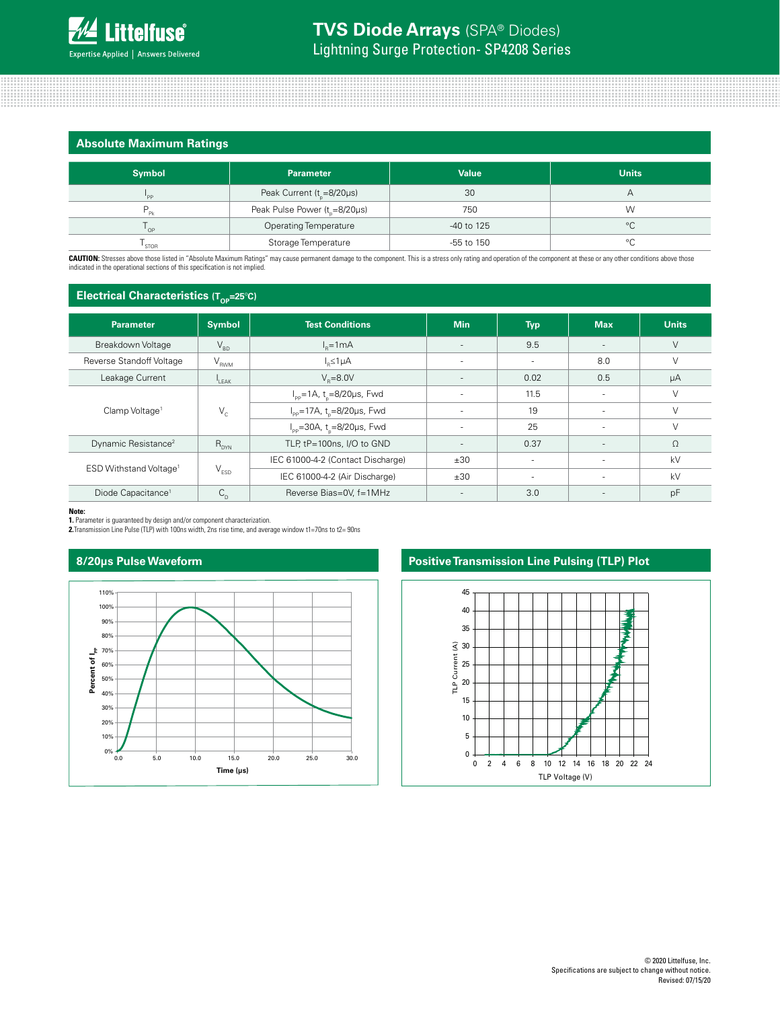### **Absolute Maximum Ratings**

| <b>Symbol</b>  | <b>Parameter</b>                          | <b>Value</b> | <b>Units</b> |  |  |  |
|----------------|-------------------------------------------|--------------|--------------|--|--|--|
| $n_{\rm PP}$   | Peak Current $(t_{0} = 8/20 \mu s)$       | 30           | Α            |  |  |  |
| Pk             | Peak Pulse Power (t <sub>n</sub> =8/20µs) | 750          | W            |  |  |  |
| $^{\prime}$ OP | <b>Operating Temperature</b>              | -40 to 125   | $^{\circ}C$  |  |  |  |
| ' STOR         | Storage Temperature                       | -55 to 150   | $\circ$      |  |  |  |

CAUTION: Stresses above those listed in "Absolute Maximum Ratings" may cause permanent damage to the component. This is a stress only rating and operation of the component at these or any other conditions above those indicated in the operational sections of this specification is not implied.

# **Electrical Characteristics (Top=25°C)**

|                                    | $\mathbf{u}$                |                                                     |                          |            |                          |              |
|------------------------------------|-----------------------------|-----------------------------------------------------|--------------------------|------------|--------------------------|--------------|
| <b>Parameter</b>                   | <b>Symbol</b>               | <b>Test Conditions</b>                              | <b>Min</b>               | <b>Typ</b> | <b>Max</b>               | <b>Units</b> |
| Breakdown Voltage                  | $\mathsf{V}_{\mathsf{BD}}$  | $Ie=1mA$                                            | $\sim$                   | 9.5        | $\sim$                   | $\vee$       |
| Reverse Standoff Voltage           | $V_{RWM}$                   | $I_{p} \leq 1 \mu A$                                |                          | ۰          | 8.0                      | $\vee$       |
| Leakage Current                    | $L_{\text{EAK}}$            | $V_e = 8.0V$                                        | $\overline{\phantom{a}}$ | 0.02       | 0.5                      | μA           |
| Clamp Voltage <sup>1</sup>         |                             | $I_{\text{pp}} = 1$ A, t <sub>n</sub> =8/20µs, Fwd  | $\overline{\phantom{a}}$ | 11.5       | $\overline{\phantom{a}}$ | $\vee$       |
|                                    | $V_c$                       | $I_{\text{pp}}$ =17A, t <sub>o</sub> =8/20µs, Fwd   |                          | 19         | $\overline{\phantom{a}}$ | $\vee$       |
|                                    |                             | $I_{\text{pp}} = 30A$ , t <sub>o</sub> =8/20µs, Fwd |                          | 25         |                          | $\vee$       |
| Dynamic Resistance <sup>2</sup>    | $R_{DYN}$                   | TLP, tP=100ns, I/O to GND                           | $\sim$                   | 0.37       | $\overline{\phantom{a}}$ | $\Omega$     |
| ESD Withstand Voltage <sup>1</sup> |                             | IEC 61000-4-2 (Contact Discharge)                   | ±30                      | ٠          | $\sim$                   | kV           |
|                                    | $\mathsf{V}_{\texttt{ESD}}$ | IEC 61000-4-2 (Air Discharge)                       | ±30                      | ٠          | $\sim$                   | kV           |
| Diode Capacitance <sup>1</sup>     | $C_{D}$                     | Reverse Bias=0V, f=1MHz                             | $\overline{\phantom{a}}$ | 3.0        | $\overline{\phantom{a}}$ | pF           |

**Note:**

**1.** Parameter is guaranteed by design and/or component characterization. **2.**Transmission Line Pulse (TLP) with 100ns width, 2ns rise time, and average window t1=70ns to t2= 90ns

## **8/20μs Pulse Waveform**



# **Positive Transmission Line Pulsing (TLP) Plot**

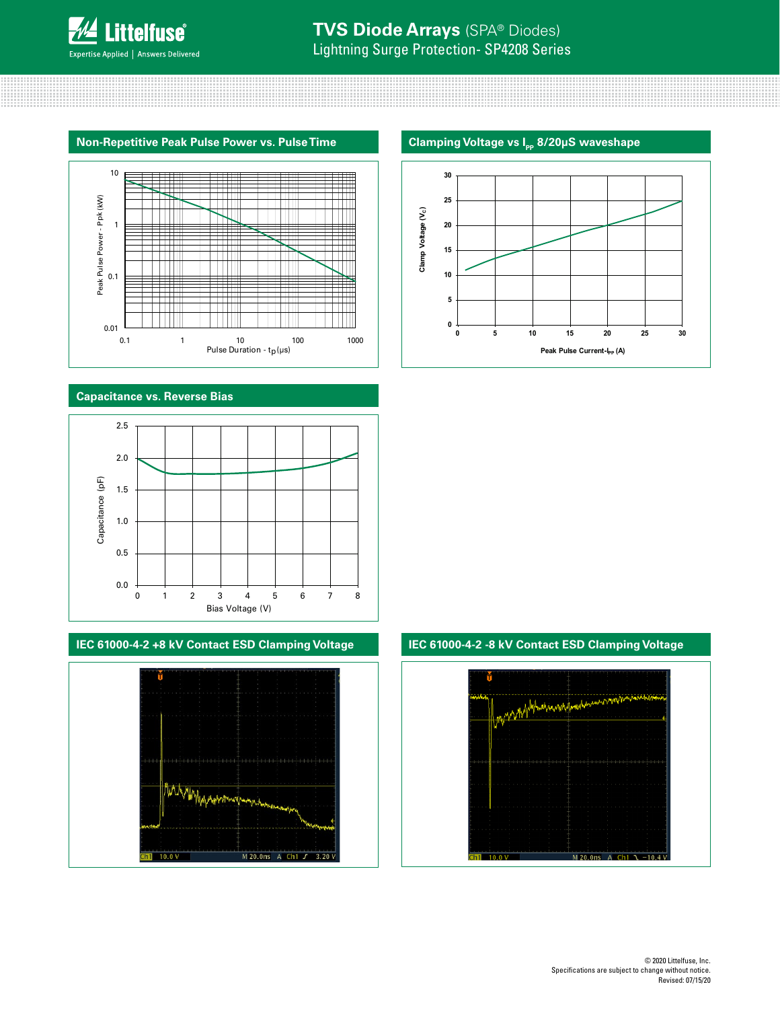



# **Capacitance vs. Reverse Bias**



# **IEC 61000-4-2 +8 kV Contact ESD Clamping Voltage IEC 61000-4-2 -8 kV Contact ESD Clamping Voltage**



# **Clamping Voltage vs I<sub>pp</sub> 8/20μS waveshape**



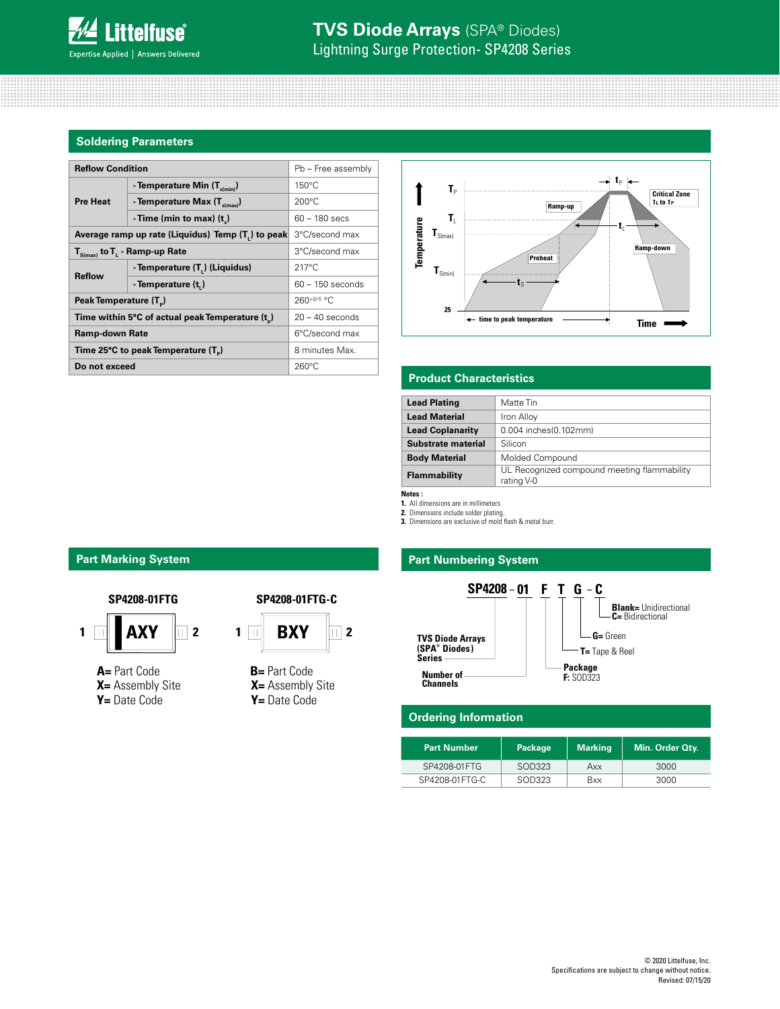#### **Soldering Parameters**

| <b>Reflow Condition</b>                                        |                    |                                                                                                               |              |                              |                                |
|----------------------------------------------------------------|--------------------|---------------------------------------------------------------------------------------------------------------|--------------|------------------------------|--------------------------------|
| - Temperature Min $(T_{s(min)})$                               | $150^{\circ}$ C    |                                                                                                               |              |                              |                                |
| - Temperature Max $(T_{\text{simax}})$                         | $200^{\circ}$ C    |                                                                                                               |              |                              | C<br>Tı                        |
| - Time (min to max) $(t)$                                      | $60 - 180$ secs    |                                                                                                               | T.           |                              |                                |
| Average ramp up rate (Liquidus) Temp (T <sub>1</sub> ) to peak |                    |                                                                                                               | $T_{S(max)}$ |                              |                                |
| $T_{S(max)}$ to $T_{L}$ - Ramp-up Rate                         |                    |                                                                                                               |              | Ramp-d                       |                                |
| - Temperature (T.) (Liquidus)                                  | $217^{\circ}$ C    | $\mathsf{I}_{S(min)}$                                                                                         |              |                              |                                |
| - Temperature (t,)                                             | $60 - 150$ seconds |                                                                                                               |              |                              |                                |
| Peak Temperature (T <sub>a</sub> )                             |                    |                                                                                                               |              |                              |                                |
| Time within 5°C of actual peak Temperature (t)                 |                    |                                                                                                               |              | ← time to peak temperature   | Time                           |
| <b>Ramp-down Rate</b>                                          |                    |                                                                                                               |              |                              |                                |
| Time 25°C to peak Temperature (T <sub>a</sub> )                | 8 minutes Max.     |                                                                                                               |              |                              |                                |
| Do not exceed                                                  | $260^{\circ}$ C    |                                                                                                               |              |                              |                                |
|                                                                |                    | Pb - Free assembly<br>3°C/second max<br>3°C/second max<br>$260+0/5$ °C<br>$20 - 40$ seconds<br>6°C/second max |              | $T_{P}$<br>Temperature<br>25 | Ramp-up<br><b>Preheat</b><br>. |



### **Product Characteristics**

| <b>Lead Plating</b>     | Matte Tin                                                 |
|-------------------------|-----------------------------------------------------------|
| <b>Lead Material</b>    | Iron Alloy                                                |
| <b>Lead Coplanarity</b> | 0.004 inches(0.102mm)                                     |
| Substrate material      | Silicon                                                   |
| <b>Body Material</b>    | Molded Compound                                           |
| Flammability            | UL Recognized compound meeting flammability<br>rating V-0 |

**Notes :** 

**1.** All dimensions are in millimeters **2.** Dimensions include solder plating.

**3.** Dimensions are exclusive of mold flash & metal burr.

# **Part Marking System Part Mumbering System**



#### **Ordering Information**

| <b>Part Number</b> | Package | <b>Marking</b> | Min. Order Qty. |
|--------------------|---------|----------------|-----------------|
| SP4208-01FTG       | SOD323  | Axx            | 3000            |
| SP4208-01 FTG-C    | SOD323  | <b>Bxx</b>     | 3000            |



**A=** Part Code **X=** Assembly Site **Y=** Date Code





**X=** Assembly Site **Y=** Date Code